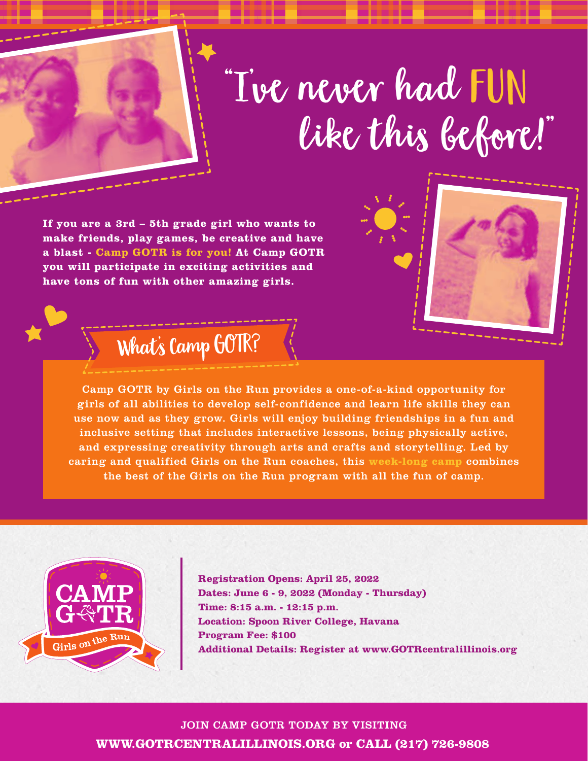## "I've never had FUN like this before!"

**If you are a 3rd – 5th grade girl who wants to make friends, play games, be creative and have a blast - Camp GOTR is for you! At Camp GOTR you will participate in exciting activities and have tons of fun with other amazing girls.** 



## What's Camp GOTR?

Camp GOTR by Girls on the Run provides a one-of-a-kind opportunity for girls of all abilities to develop self-confidence and learn life skills they can use now and as they grow. Girls will enjoy building friendships in a fun and inclusive setting that includes interactive lessons, being physically active, and expressing creativity through arts and crafts and storytelling. Led by caring and qualified Girls on the Run coaches, this **week-long camp** combines the best of the Girls on the Run program with all the fun of camp.



**Registration Opens: April 25, 2022 Dates: June 6 - 9, 2022 (Monday - Thursday)** Time: 8:15 a.m. - 12:15 p.m. **Location: Spoon River College, Havana Program Fee: \$100 Additional Details: Register at www.GOTRcentralillinois.org** 

JOIN CAMP GOTR TODAY BY VISITING **WWW.GOTRCENTRALILLINOIS.ORG or CALL (217) 726-9808**